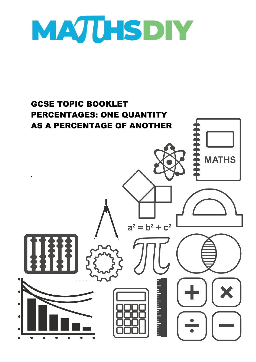

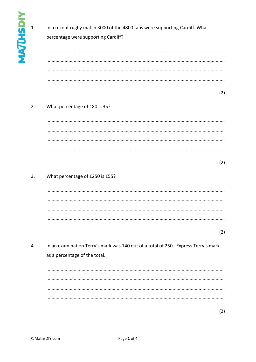| In a recent rugby match 3000 of the 4800 fans were supporting Cardiff. What |  |
|-----------------------------------------------------------------------------|--|
| percentage were supporting Cardiff?                                         |  |
|                                                                             |  |
|                                                                             |  |

## $(2)$

## $2.$ What percentage of 180 is 35?

 $(2)$ 

## $3.$ What percentage of £250 is £55?

 $(2)$ 

4. In an examination Terry's mark was 140 out of a total of 250. Express Terry's mark as a percentage of the total.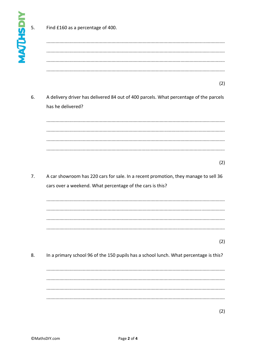5.

Find £160 as a percentage of 400.

- $(2)$
- 6. A delivery driver has delivered 84 out of 400 parcels. What percentage of the parcels has he delivered?

- $(2)$
- $\overline{7}$ . A car showroom has 220 cars for sale. In a recent promotion, they manage to sell 36 cars over a weekend. What percentage of the cars is this?

## $(2)$

8. In a primary school 96 of the 150 pupils has a school lunch. What percentage is this?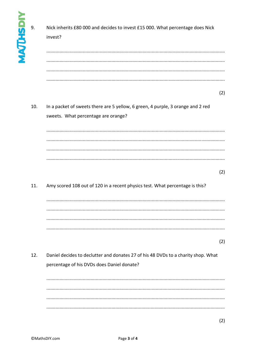| MAJHSDN | 9.  | Nick inherits £80 000 and decides to invest £15 000. What percentage does Nick<br>invest?                              |     |
|---------|-----|------------------------------------------------------------------------------------------------------------------------|-----|
|         |     |                                                                                                                        |     |
|         |     |                                                                                                                        |     |
|         |     |                                                                                                                        | (2) |
|         | 10. | In a packet of sweets there are 5 yellow, 6 green, 4 purple, 3 orange and 2 red<br>sweets. What percentage are orange? |     |
|         |     |                                                                                                                        |     |
|         |     |                                                                                                                        |     |
|         |     |                                                                                                                        |     |
|         |     |                                                                                                                        | (2) |
|         | 11. | Amy scored 108 out of 120 in a recent physics test. What percentage is this?                                           |     |

 $(2)$ 

 $(2)$ 

12. Daniel decides to declutter and donates 27 of his 48 DVDs to a charity shop. What percentage of his DVDs does Daniel donate?